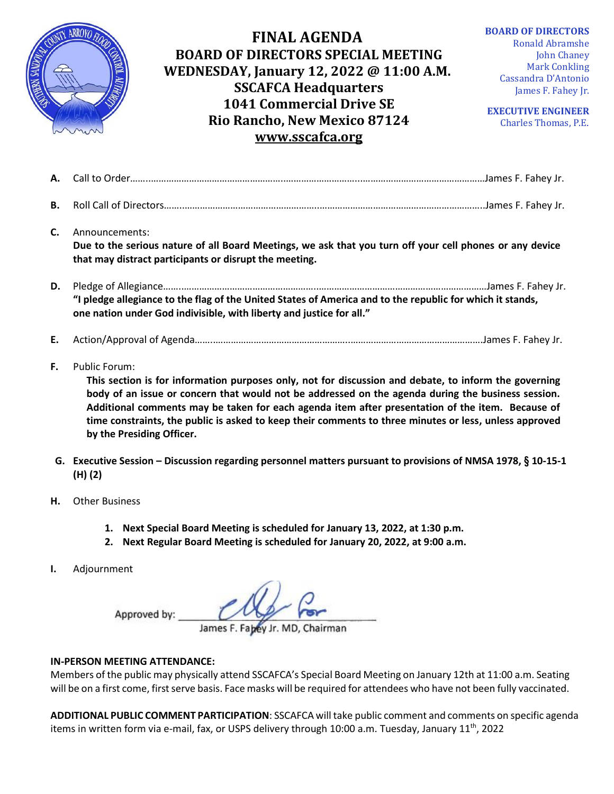

## **FINAL AGENDA BOARD OF DIRECTORS SPECIAL MEETING WEDNESDAY, January 12, 2022 @ 11:00 A.M. SSCAFCA Headquarters 1041 Commercial Drive SE Rio Rancho, New Mexico 87124 [www.sscafca.org](http://www.sscafca.org/)**

**BOARD OF DIRECTORS** Ronald Abramshe John Chaney Mark Conkling Cassandra D'Antonio James F. Fahey Jr.

**EXECUTIVE ENGINEER** Charles Thomas, P.E*.*

| <b>B.</b> |                                                                                                                                                                                      |                                                                                                                                                                                                                                |  |
|-----------|--------------------------------------------------------------------------------------------------------------------------------------------------------------------------------------|--------------------------------------------------------------------------------------------------------------------------------------------------------------------------------------------------------------------------------|--|
| C.        | Announcements:<br>Due to the serious nature of all Board Meetings, we ask that you turn off your cell phones or any device<br>that may distract participants or disrupt the meeting. |                                                                                                                                                                                                                                |  |
| D.        | one nation under God indivisible, with liberty and justice for all."                                                                                                                 | "I pledge allegiance to the flag of the United States of America and to the republic for which it stands,                                                                                                                      |  |
|           | $\mathbf{F}$ $\mathbf{A}$ at $\mathbf{A}$ $\mathbf{A}$ is a sequence of $\mathbf{A}$ and $\mathbf{A}$                                                                                | and the second control of the control of the control of the control of the control of the control of the control of the control of the control of the control of the control of the control of the control of the control of t |  |

- **E.** Action/Approval of Agenda……..……………………………………………..…………………………………………….James F. Fahey Jr.
- **F.** Public Forum:

**This section is for information purposes only, not for discussion and debate, to inform the governing body of an issue or concern that would not be addressed on the agenda during the business session. Additional comments may be taken for each agenda item after presentation of the item. Because of time constraints, the public is asked to keep their comments to three minutes or less, unless approved by the Presiding Officer.**

- **G. Executive Session – Discussion regarding personnel matters pursuant to provisions of NMSA 1978, § 10-15-1 (H) (2)**
- **H.** Other Business
	- **1. Next Special Board Meeting is scheduled for January 13, 2022, at 1:30 p.m.**
	- **2. Next Regular Board Meeting is scheduled for January 20, 2022, at 9:00 a.m.**
- **I.** Adjournment

Approved by:

James F. Fabey Jr. MD, Chairman

## **IN-PERSON MEETING ATTENDANCE:**

Members of the public may physically attend SSCAFCA's Special Board Meeting on January 12th at 11:00 a.m. Seating will be on a first come, first serve basis. Face masks will be required for attendees who have not been fully vaccinated.

**ADDITIONAL PUBLIC COMMENT PARTICIPATION**: SSCAFCA will take public comment and comments on specific agenda items in written form via e-mail, fax, or USPS delivery through 10:00 a.m. Tuesday, January 11<sup>th</sup>, 2022